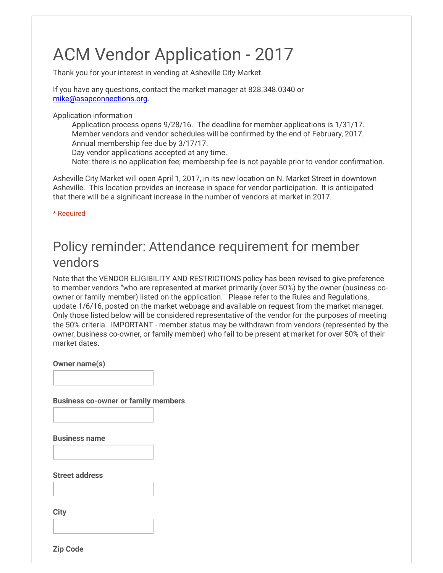# ACM Vendor Application - 2017

Thank you for your interest in vending at Asheville City Market.

If you have any questions, contact the market manager at 828.348.0340 or [mike@asapconnections.org](mailto:mike@asapconnections.org).

Application information

Application process opens 9/28/16. The deadline for member applications is 1/31/17. Member vendors and vendor schedules will be confirmed by the end of February, 2017. Annual membership fee due by 3/17/17.

Day vendor applications accepted at any time.

Note: there is no application fee; membership fee is not payable prior to vendor confirmation.

Asheville City Market will open April 1, 2017, in its new location on N. Market Street in downtown Asheville. This location provides an increase in space for vendor participation. It is anticipated that there will be a significant increase in the number of vendors at market in 2017.

\* Required

### Policy reminder: Attendance requirement for member vendors

Note that the VENDOR ELIGIBILITY AND RESTRICTIONS policy has been revised to give preference to member vendors "who are represented at market primarily (over 50%) by the owner (business coowner or family member) listed on the application." Please refer to the Rules and Regulations, update 1/6/16, posted on the market webpage and available on request from the market manager. Only those listed below will be considered representative of the vendor for the purposes of meeting the 50% criteria. IMPORTANT - member status may be withdrawn from vendors (represented by the owner, business co-owner, or family member) who fail to be present at market for over 50% of their market dates.

Owner name(s)

Business co-owner or family members

Business name

Street address

**City** 

Zip Code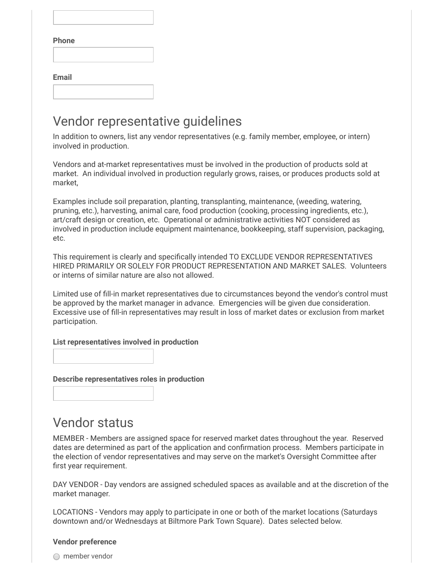| Phone        |  |  |
|--------------|--|--|
|              |  |  |
|              |  |  |
| <b>Email</b> |  |  |
|              |  |  |

### Vendor representative guidelines

In addition to owners, list any vendor representatives (e.g. family member, employee, or intern) involved in production.

Vendors and at-market representatives must be involved in the production of products sold at market. An individual involved in production regularly grows, raises, or produces products sold at market,

Examples include soil preparation, planting, transplanting, maintenance, (weeding, watering, pruning, etc.), harvesting, animal care, food production (cooking, processing ingredients, etc.), art/craft design or creation, etc. Operational or administrative activities NOT considered as involved in production include equipment maintenance, bookkeeping, staff supervision, packaging, etc.

This requirement is clearly and specifically intended TO EXCLUDE VENDOR REPRESENTATIVES HIRED PRIMARILY OR SOLELY FOR PRODUCT REPRESENTATION AND MARKET SALES. Volunteers or interns of similar nature are also not allowed.

Limited use of ll-in market representatives due to circumstances beyond the vendor's control must be approved by the market manager in advance. Emergencies will be given due consideration. Excessive use of ll-in representatives may result in loss of market dates or exclusion from market participation.

#### List representatives involved in production

Describe representatives roles in production

### Vendor status

MEMBER - Members are assigned space for reserved market dates throughout the year. Reserved dates are determined as part of the application and confirmation process. Members participate in the election of vendor representatives and may serve on the market's Oversight Committee after first year requirement.

DAY VENDOR - Day vendors are assigned scheduled spaces as available and at the discretion of the market manager.

LOCATIONS - Vendors may apply to participate in one or both of the market locations (Saturdays downtown and/or Wednesdays at Biltmore Park Town Square). Dates selected below.

#### Vendor preference

 $\bigcirc$  member vendor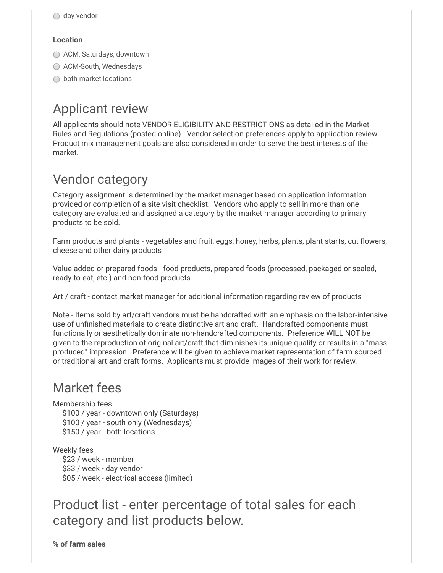#### Location

- ACM, Saturdays, downtown
- ACM-South, Wednesdays
- ◯ both market locations

# Applicant review

All applicants should note VENDOR ELIGIBILITY AND RESTRICTIONS as detailed in the Market Rules and Regulations (posted online). Vendor selection preferences apply to application review. Product mix management goals are also considered in order to serve the best interests of the market.

## Vendor category

Category assignment is determined by the market manager based on application information provided or completion of a site visit checklist. Vendors who apply to sell in more than one category are evaluated and assigned a category by the market manager according to primary products to be sold.

Farm products and plants - vegetables and fruit, eggs, honey, herbs, plants, plant starts, cut flowers, cheese and other dairy products

Value added or prepared foods - food products, prepared foods (processed, packaged or sealed, ready-to-eat, etc.) and non-food products

Art / craft - contact market manager for additional information regarding review of products

Note - Items sold by art/craft vendors must be handcrafted with an emphasis on the labor-intensive use of unfinished materials to create distinctive art and craft. Handcrafted components must functionally or aesthetically dominate non-handcrafted components. Preference WILL NOT be given to the reproduction of original art/craft that diminishes its unique quality or results in a "mass produced" impression. Preference will be given to achieve market representation of farm sourced or traditional art and craft forms. Applicants must provide images of their work for review.

### Market fees

Membership fees \$100 / year - downtown only (Saturdays) \$100 / year - south only (Wednesdays) \$150 / year - both locations

Weekly fees \$23 / week - member \$33 / week - day vendor \$05 / week - electrical access (limited)

### Product list - enter percentage of total sales for each category and list products below.

% of farm sales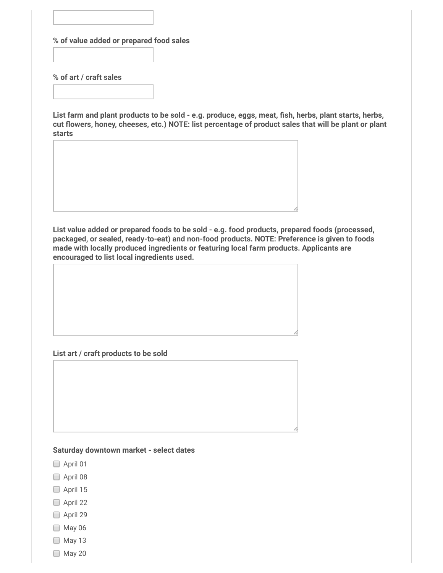% of value added or prepared food sales

% of art / craft sales

List farm and plant products to be sold - e.g. produce, eggs, meat, fish, herbs, plant starts, herbs, cut flowers, honey, cheeses, etc.) NOTE: list percentage of product sales that will be plant or plant starts

List value added or prepared foods to be sold - e.g. food products, prepared foods (processed, packaged, or sealed, ready-to-eat) and non-food products. NOTE: Preference is given to foods made with locally produced ingredients or featuring local farm products. Applicants are encouraged to list local ingredients used.

#### List art / craft products to be sold

#### Saturday downtown market - select dates

- $\Box$  April 01
- April 08
- April 15
- April 22
- □ April 29
- $\Box$  May 06
- $\Box$  May 13
- $\Box$  May 20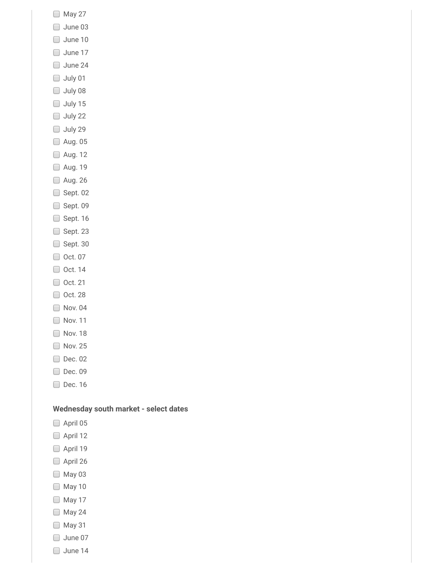- May 27
- June 03
- $\Box$  June 10
- June 17
- June 24
- July 01
- July 08
- $\Box$  July 15
- $\Box$  July 22
- $\Box$  July 29
- Aug. 05
- Aug. 12
- □ Aug. 19
- Aug. 26
- □ Sept. 02
- Sept. 09
- $\Box$  Sept. 16
- Sept. 23
- $\Box$  Sept. 30
- □ Oct. 07
- $\Box$  Oct. 14
- □ Oct. 21
- □ Oct. 28
- Nov. 04
- Nov. 11
- Nov. 18
- Nov. 25
- Dec. 02
- Dec. 09
- □ Dec. 16

#### Wednesday south market - select dates

- April 05
- April 12
- April 19
- April 26
- May 03
- **May 10**
- May 17
- $\Box$  May 24
- $\Box$  May 31
- June 07
- June 14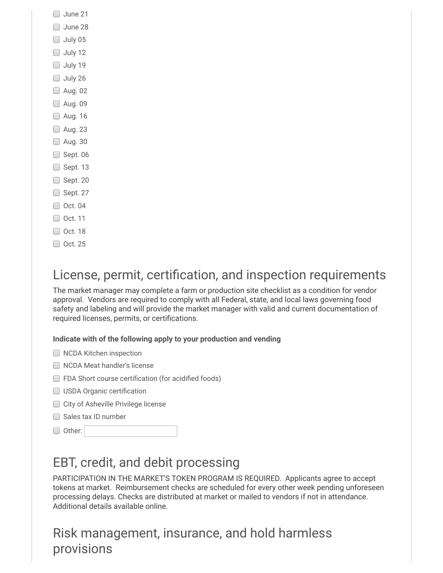| Uune : |  |
|--------|--|
|        |  |

- June 28
- $\Box$  July 05
- $\Box$  July 12
- $\Box$  July 19
- $\Box$  July 26
- Aug. 02
- **Aug. 09**
- □ Aug. 16
- Aug. 23
- **D** Aug. 30
- $\Box$  Sept. 06
- $\Box$  Sept. 13
- $\Box$  Sept. 20
- $\Box$  Sept. 27
- $\Box$  Oct. 04
- □ Oct. 11
- □ Oct. 18
- □ Oct. 25

# License, permit, certification, and inspection requirements

The market manager may complete a farm or production site checklist as a condition for vendor approval. Vendors are required to comply with all Federal, state, and local laws governing food safety and labeling and will provide the market manager with valid and current documentation of required licenses, permits, or certifications.

#### Indicate with of the following apply to your production and vending

|  | <b>NCDA Kitchen inspection</b> |
|--|--------------------------------|
|  |                                |

- NCDA Meat handler's license
- $\Box$  FDA Short course certification (for acidified foods)
- $\Box$  USDA Organic certification
- City of Asheville Privilege license
- Sales tax ID number
- □ Other:

# EBT, credit, and debit processing

PARTICIPATION IN THE MARKET'S TOKEN PROGRAM IS REQUIRED. Applicants agree to accept tokens at market. Reimbursement checks are scheduled for every other week pending unforeseen processing delays. Checks are distributed at market or mailed to vendors if not in attendance. Additional details available online.

# Risk management, insurance, and hold harmless provisions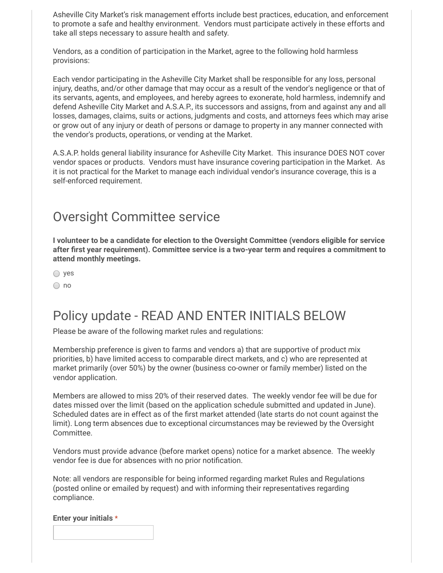Asheville City Market's risk management efforts include best practices, education, and enforcement to promote a safe and healthy environment. Vendors must participate actively in these efforts and take all steps necessary to assure health and safety.

Vendors, as a condition of participation in the Market, agree to the following hold harmless provisions:

Each vendor participating in the Asheville City Market shall be responsible for any loss, personal injury, deaths, and/or other damage that may occur as a result of the vendor's negligence or that of its servants, agents, and employees, and hereby agrees to exonerate, hold harmless, indemnify and defend Asheville City Market and A.S.A.P., its successors and assigns, from and against any and all losses, damages, claims, suits or actions, judgments and costs, and attorneys fees which may arise or grow out of any injury or death of persons or damage to property in any manner connected with the vendor's products, operations, or vending at the Market.

A.S.A.P. holds general liability insurance for Asheville City Market. This insurance DOES NOT cover vendor spaces or products. Vendors must have insurance covering participation in the Market. As it is not practical for the Market to manage each individual vendor's insurance coverage, this is a self-enforced requirement.

### Oversight Committee service

I volunteer to be a candidate for election to the Oversight Committee (vendors eligible for service after first year requirement). Committee service is a two-year term and requires a commitment to attend monthly meetings.

○ yes

○ no

### Policy update - READ AND ENTER INITIALS BELOW

Please be aware of the following market rules and regulations:

Membership preference is given to farms and vendors a) that are supportive of product mix priorities, b) have limited access to comparable direct markets, and c) who are represented at market primarily (over 50%) by the owner (business co-owner or family member) listed on the vendor application.

Members are allowed to miss 20% of their reserved dates. The weekly vendor fee will be due for dates missed over the limit (based on the application schedule submitted and updated in June). Scheduled dates are in effect as of the first market attended (late starts do not count against the limit). Long term absences due to exceptional circumstances may be reviewed by the Oversight Committee.

Vendors must provide advance (before market opens) notice for a market absence. The weekly vendor fee is due for absences with no prior notification.

Note: all vendors are responsible for being informed regarding market Rules and Regulations (posted online or emailed by request) and with informing their representatives regarding compliance.

Enter your initials \*